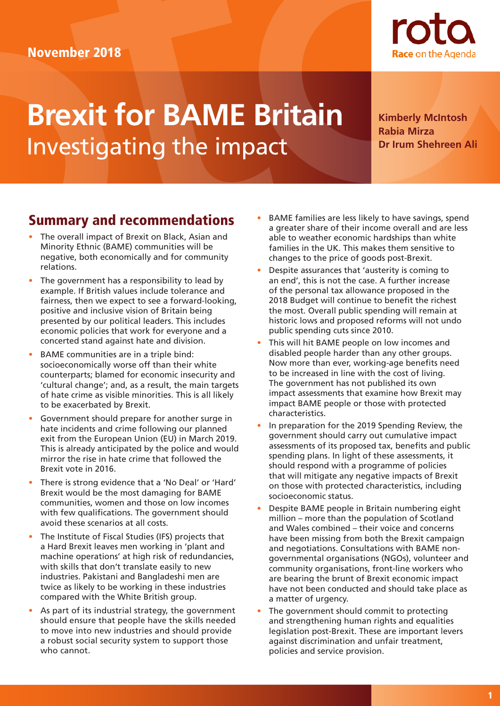# November 2018



# **Brexit for BAME Britain** Investigating the impact

**Kimberly McIntosh Rabia Mirza Dr Irum Shehreen Ali**

# Summary and recommendations

- The overall impact of Brexit on Black, Asian and Minority Ethnic (BAME) communities will be negative, both economically and for community relations.
- The government has a responsibility to lead by example. If British values include tolerance and fairness, then we expect to see a forward-looking, positive and inclusive vision of Britain being presented by our political leaders. This includes economic policies that work for everyone and a concerted stand against hate and division.
- BAME communities are in a triple bind: socioeconomically worse off than their white counterparts; blamed for economic insecurity and 'cultural change'; and, as a result, the main targets of hate crime as visible minorities. This is all likely to be exacerbated by Brexit.
- Government should prepare for another surge in hate incidents and crime following our planned exit from the European Union (EU) in March 2019. This is already anticipated by the police and would mirror the rise in hate crime that followed the Brexit vote in 2016.
- There is strong evidence that a 'No Deal' or 'Hard' Brexit would be the most damaging for BAME communities, women and those on low incomes with few qualifications. The government should avoid these scenarios at all costs.
- The Institute of Fiscal Studies (IFS) projects that a Hard Brexit leaves men working in 'plant and machine operations' at high risk of redundancies, with skills that don't translate easily to new industries. Pakistani and Bangladeshi men are twice as likely to be working in these industries compared with the White British group.
- As part of its industrial strategy, the government should ensure that people have the skills needed to move into new industries and should provide a robust social security system to support those who cannot.
- BAME families are less likely to have savings, spend a greater share of their income overall and are less able to weather economic hardships than white families in the UK. This makes them sensitive to changes to the price of goods post-Brexit.
- Despite assurances that 'austerity is coming to an end', this is not the case. A further increase of the personal tax allowance proposed in the 2018 Budget will continue to benefit the richest the most. Overall public spending will remain at historic lows and proposed reforms will not undo public spending cuts since 2010.
- This will hit BAME people on low incomes and disabled people harder than any other groups. Now more than ever, working-age benefits need to be increased in line with the cost of living. The government has not published its own impact assessments that examine how Brexit may impact BAME people or those with protected characteristics.
- In preparation for the 2019 Spending Review, the government should carry out cumulative impact assessments of its proposed tax, benefits and public spending plans. In light of these assessments, it should respond with a programme of policies that will mitigate any negative impacts of Brexit on those with protected characteristics, including socioeconomic status.
- Despite BAME people in Britain numbering eight million – more than the population of Scotland and Wales combined – their voice and concerns have been missing from both the Brexit campaign and negotiations. Consultations with BAME nongovernmental organisations (NGOs), volunteer and community organisations, front-line workers who are bearing the brunt of Brexit economic impact have not been conducted and should take place as a matter of urgency.
- The government should commit to protecting and strengthening human rights and equalities legislation post-Brexit. These are important levers against discrimination and unfair treatment, policies and service provision.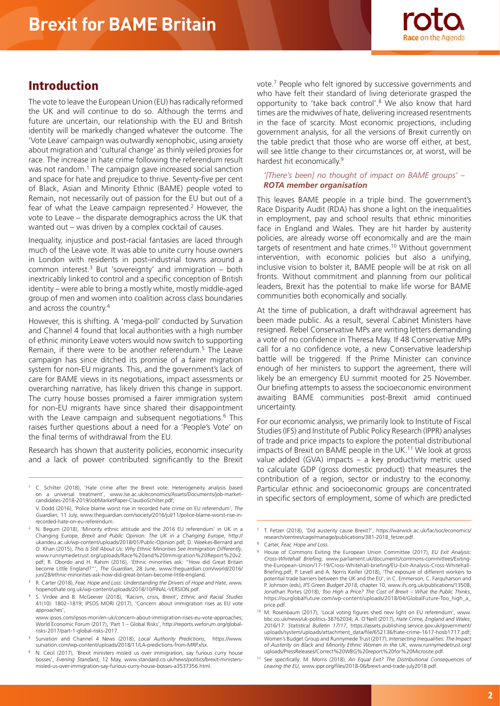

# Introduction

The vote to leave the European Union (EU) has radically reformed the UK and will continue to do so. Although the terms and future are uncertain, our relationship with the EU and British identity will be markedly changed whatever the outcome. The 'Vote Leave' campaign was outwardly xenophobic, using anxiety about migration and 'cultural change' as thinly veiled proxies for race. The increase in hate crime following the referendum result was not random.<sup>1</sup> The campaign gave increased social sanction and space for hate and prejudice to thrive. Seventy-five per cent of Black, Asian and Minority Ethnic (BAME) people voted to Remain, not necessarily out of passion for the EU but out of a fear of what the Leave campaign represented.<sup>2</sup> However, the vote to Leave – the disparate demographics across the UK that wanted out – was driven by a complex cocktail of causes.

Inequality, injustice and post-racial fantasies are laced through much of the Leave vote. It was able to unite curry house owners in London with residents in post-industrial towns around a common interest.<sup>3</sup> But 'sovereignty' and immigration  $-$  both inextricably linked to control and a specific conception of British identity – were able to bring a mostly white, mostly middle-aged group of men and women into coalition across class boundaries and across the country.4

However, this is shifting. A 'mega-poll' conducted by Survation and Channel 4 found that local authorities with a high number of ethnic minority Leave voters would now switch to supporting Remain, if there were to be another referendum.<sup>5</sup> The Leave campaign has since ditched its promise of a fairer migration system for non-EU migrants. This, and the government's lack of care for BAME views in its negotiations, impact assessments or overarching narrative, has likely driven this change in support. The curry house bosses promised a fairer immigration system for non-EU migrants have since shared their disappointment with the Leave campaign and subsequent negotiations.<sup>6</sup> This raises further questions about a need for a 'People's Vote' on the final terms of withdrawal from the EU.

Research has shown that austerity policies, economic insecurity and a lack of power contributed significantly to the Brexit vote.7 People who felt ignored by successive governments and who have felt their standard of living deteriorate grasped the opportunity to 'take back control'.8 We also know that hard times are the midwives of hate, delivering increased resentments in the face of scarcity. Most economic projections, including government analysis, for all the versions of Brexit currently on the table predict that those who are worse off either, at best, will see little change to their circumstances or, at worst, will be hardest hit economically.9

## *'[There's been] no thought of impact on BAME groups' – ROTA member organisation*

This leaves BAME people in a triple bind. The government's Race Disparity Audit (RDA) has shone a light on the inequalities in employment, pay and school results that ethnic minorities face in England and Wales. They are hit harder by austerity policies, are already worse off economically and are the main targets of resentment and hate crimes.10 Without government intervention, with economic policies but also a unifying, inclusive vision to bolster it, BAME people will be at risk on all fronts. Without commitment and planning from our political leaders, Brexit has the potential to make life worse for BAME communities both economically and socially.

At the time of publication, a draft withdrawal agreement has been made public. As a result, several Cabinet Ministers have resigned. Rebel Conservative MPs are writing letters demanding a vote of no confidence in Theresa May. If 48 Conservative MPs call for a no confidence vote, a new Conservative leadership battle will be triggered. If the Prime Minister can convince enough of her ministers to support the agreement, there will likely be an emergency EU summit mooted for 25 November. Our briefing attempts to assess the socioeconomic environment awaiting BAME communities post-Brexit amid continued uncertainty.

For our economic analysis, we primarily look to Institute of Fiscal Studies (IFS) and Institute of Public Policy Research (IPPR) analyses of trade and price impacts to explore the potential distributional impacts of Brexit on BAME people in the UK.<sup>11</sup> We look at gross value added (GVA) impacts – a key productivity metric used to calculate GDP (gross domestic product) that measures the contribution of a region, sector or industry to the economy. Particular ethnic and socioeconomic groups are concentrated in specific sectors of employment, some of which are predicted

<sup>1</sup> C. Schilter (2018), 'Hate crime after the Brexit vote: Heterogeneity analysis based on a universal treatment', www.lse.ac.uk/economics/Assets/Documents/job-marketcandidates-2018-2019/JobMarketPaper-ClaudioSchilter.pdf;

V. Dodd (2016), 'Police blame worst rise in recorded hate crime on EU referendum', *The Guardian*, 11 July, www.theguardian.com/society/2016/jul/11/police-blame-worst-rise-inrecorded-hate-on-eu-referendum.

<sup>&</sup>lt;sup>2</sup> N. Begum (2018), 'Minority ethnic attitude and the 2016 EU referendum' in UK in a Changing Europe, *Brexit and Public Opinion: The UK in a Changing Europe*, http:// ukandeu.ac.uk/wp-content/uploads/2018/01/Public-Opinion.pdf; D. Weekes-Bernard and O. Khan (2015), *This Is Still About Us: Why Ethnic Minorities See Immigration Differently*, www.runnymedetrust.org/uploads/Race%20and%20Immigration%20Report%20v2. pdf; R. Obordo and H. Rahim (2016), 'Ethnic minorities ask: "How did Great Britain become Little England?"', *The Guardian*, 28 June, www.theguardian.com/world/2016/ jun/28/ethnic-minorities-ask-how-did-great-britain-become-little-england.

<sup>3</sup> R. Carter (2018), *Fear, Hope and Loss: Understanding the Drivers of Hope and Hate*, www. hopenothate.org.uk/wp-content/uploads/2018/10/FINAL-VERSION.pdf.

<sup>4</sup> S. Virdee and B. McGeever (2018), 'Racism, crisis, Brexit', *Ethnic and Racial Studies* 41(10): 1802–1819; IPSOS MORI (2017), 'Concern about immigration rises as EU vote approaches',

www.ipsos.com/ipsos-mori/en-uk/concern-about-immigration-rises-eu-vote-approaches; World Economic Forum (2017), 'Part 1 – Global Risks', http://reports.weforum.org/globalrisks-2017/part-1-global-risks-2017.

<sup>5</sup> Survation and Channel 4 News (2018), *Local Authority Predictions*, https://www. survation.com/wp-content/uploads/2018/11/LA-predictions-from-MRP.xlsx.

N. Cecil (2017), 'Brexit ministers misled us over immigration, say furious curry house bosses', *Evening Standard*, 12 May, www.standard.co.uk/news/politics/brexit-ministersmisled-us-over-immigration-say-furious-curry-house-bosses-a3537356.html.

<sup>7</sup> T. Fetzer (2018), 'Did austerity cause Brexit?', https://warwick.ac.uk/fac/soc/economics/ research/centres/cage/manage/publications/381-2018\_fetzer.pdf.

<sup>8</sup> Carter, *Fear, Hope and Loss*.

<sup>9</sup> House of Commons Exiting the European Union Committee (2017), *EU Exit Analysis: Cross-Whitehall Briefing*, www.parliament.uk/documents/commons-committees/Exitingthe-European-Union/17-19/Cross-Whitehall-briefing/EU-Exit-Analysis-Cross-Whitehall-Briefing.pdf; P. Levell and A. Norris Keiller (2018), 'The exposure of different workers to potential trade barriers between the UK and the EU', in C. Emmerson, C. Farquharson and P. Johnson (eds), *IFS Green Budget 2018*, chapter 10, www.ifs.org.uk/publications/13508; Jonathan Portes (2018), *Too High a Price? The Cost of Brexit – What the Public Thinks*, https://ourglobalfuture.com/wp-content/uploads/2018/04/GlobalFuture-Too\_high\_a\_ price.pdf.

<sup>&</sup>lt;sup>10</sup> M. Rosenbaum (2017), 'Local voting figures shed new light on EU referendum', www. bbc.co.uk/news/uk-politics-38762034; A. O'Neill (2017), *Hate Crime, England and Wales*, 2016/17: *Statistical Bulletin 17/17*, https://assets.publishing.service.gov.uk/government/ uploads/system/uploads/attachment\_data/file/652136/hate-crime-1617-hosb1717.pdf; Women's Budget Group and Runnymede Trust (2017), *Intersecting Inequalities: The Impact of Austerity on Black and Minority Ethnic Women in the UK*, www.runnymedetrust.org/ uploads/PressReleases/Correct%20WBG%20report%20for%20Microsite.pdf.

<sup>11</sup> See specifically: M. Morris (2018), *An Equal Exit? The Distributional Consequences of Leaving the EU*, www.ippr.org/files/2018-06/brexit-and-trade-july2018.pdf.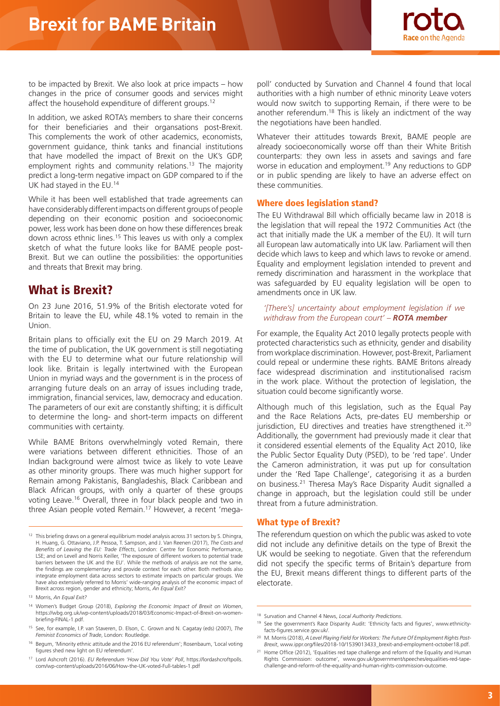

to be impacted by Brexit. We also look at price impacts – how changes in the price of consumer goods and services might affect the household expenditure of different groups.<sup>12</sup>

In addition, we asked ROTA's members to share their concerns for their beneficiaries and their organsations post-Brexit. This complements the work of other academics, economists, government guidance, think tanks and financial institutions that have modelled the impact of Brexit on the UK's GDP, employment rights and community relations.<sup>13</sup> The majority predict a long-term negative impact on GDP compared to if the UK had stayed in the EU.14

While it has been well established that trade agreements can have considerably different impacts on different groups of people depending on their economic position and socioeconomic power, less work has been done on how these differences break down across ethnic lines.<sup>15</sup> This leaves us with only a complex sketch of what the future looks like for BAME people post-Brexit. But we can outline the possibilities: the opportunities and threats that Brexit may bring.

# What is Brexit?

On 23 June 2016, 51.9% of the British electorate voted for Britain to leave the EU, while 48.1% voted to remain in the Union.

Britain plans to officially exit the EU on 29 March 2019. At the time of publication, the UK government is still negotiating with the EU to determine what our future relationship will look like. Britain is legally intertwined with the European Union in myriad ways and the government is in the process of arranging future deals on an array of issues including trade, immigration, financial services, law, democracy and education. The parameters of our exit are constantly shifting; it is difficult to determine the long- and short-term impacts on different communities with certainty.

While BAME Britons overwhelmingly voted Remain, there were variations between different ethnicities. Those of an Indian background were almost twice as likely to vote Leave as other minority groups. There was much higher support for Remain among Pakistanis, Bangladeshis, Black Caribbean and Black African groups, with only a quarter of these groups voting Leave.16 Overall, three in four black people and two in three Asian people voted Remain.17 However, a recent 'mega-

poll' conducted by Survation and Channel 4 found that local authorities with a high number of ethnic minority Leave voters would now switch to supporting Remain, if there were to be another referendum.<sup>18</sup> This is likely an indictment of the way the negotiations have been handled.

Whatever their attitudes towards Brexit, BAME people are already socioeconomically worse off than their White British counterparts: they own less in assets and savings and fare worse in education and employment.19 Any reductions to GDP or in public spending are likely to have an adverse effect on these communities.

## Where does legislation stand?

The EU Withdrawal Bill which officially became law in 2018 is the legislation that will repeal the 1972 Communities Act (the act that initially made the UK a member of the EU). It will turn all European law automatically into UK law. Parliament will then decide which laws to keep and which laws to revoke or amend. Equality and employment legislation intended to prevent and remedy discrimination and harassment in the workplace that was safeguarded by EU equality legislation will be open to amendments once in UK law.

## *'[There's] uncertainty about employment legislation if we withdraw from the European court' – ROTA member*

For example, the Equality Act 2010 legally protects people with protected characteristics such as ethnicity, gender and disability from workplace discrimination. However, post-Brexit, Parliament could repeal or undermine these rights. BAME Britons already face widespread discrimination and institutionalised racism in the work place. Without the protection of legislation, the situation could become significantly worse.

Although much of this legislation, such as the Equal Pay and the Race Relations Acts, pre-dates EU membership or jurisdiction, EU directives and treaties have strengthened it.<sup>20</sup> Additionally, the government had previously made it clear that it considered essential elements of the Equality Act 2010, like the Public Sector Equality Duty (PSED), to be 'red tape'. Under the Cameron administration, it was put up for consultation under the 'Red Tape Challenge', categorising it as a burden on business.21 Theresa May's Race Disparity Audit signalled a change in approach, but the legislation could still be under threat from a future administration.

## What type of Brexit?

The referendum question on which the public was asked to vote did not include any definitive details on the type of Brexit the UK would be seeking to negotiate. Given that the referendum did not specify the specific terms of Britain's departure from the EU, Brexit means different things to different parts of the electorate.

<sup>&</sup>lt;sup>12</sup> This briefing draws on a general equilibrium model analysis across 31 sectors by S. Dhingra, H. Huang, G. Ottaviano, J.P. Pessoa, T. Sampson, and J. Van Reenen (2017), *The Costs and Benefits of Leaving the EU: Trade Effects*, London: Centre for Economic Performance, LSE; and on Levell and Norris Keiller, 'The exposure of different workers to potential trade barriers between the UK and the EU'. While the methods of analysis are not the same, the findings are complementary and provide context for each other. Both methods also integrate employment data across sectors to estimate impacts on particular groups. We have also extensively referred to Morris' wide-ranging analysis of the economic impact of Brexit across region, gender and ethnicity; Morris, *An Equal Exit?*

<sup>13</sup> Morris, *An Equal Exit?*

<sup>14</sup> Women's Budget Group (2018), *Exploring the Economic Impact of Brexit on Women*, https://wbg.org.uk/wp-content/uploads/2018/03/Economic-Impact-of-Brexit-on-womenbriefing-FINAL-1.pdf.

<sup>15</sup> See, for example, I.P. van Staveren, D. Elson, C. Grown and N. Cagatay (eds) (2007), *The Feminist Economics of Trade*, London: Routledge.

<sup>16</sup> Begum, 'Minority ethnic attitude and the 2016 EU referendum'; Rosenbaum, 'Local voting figures shed new light on EU referendum'.

<sup>17</sup> Lord Ashcroft (2016). *EU Referendum 'How Did You Vote' Poll*, https://lordashcroftpolls. com/wp-content/uploads/2016/06/How-the-UK-voted-Full-tables-1.pdf

<sup>18</sup> Survation and Channel 4 News, *Local Authority Predictions*.

<sup>&</sup>lt;sup>19</sup> See the government's Race Disparity Audit: 'Ethnicity facts and figures', www.ethnicityfacts-figures.service.gov.uk/.

<sup>20</sup> M. Morris (2018), *A Level Playing Field for Workers: The Future Of Employment Rights Post-Brexit*, www.ippr.org/files/2018-10/1539013433\_brexit-and-employment-october18.pdf.

<sup>&</sup>lt;sup>21</sup> Home Office (2012), 'Equalities red tape challenge and reform of the Equality and Human Rights Commission: outcome', www.gov.uk/government/speeches/equalities-red-tapechallenge-and-reform-of-the-equality-and-human-rights-commission-outcome.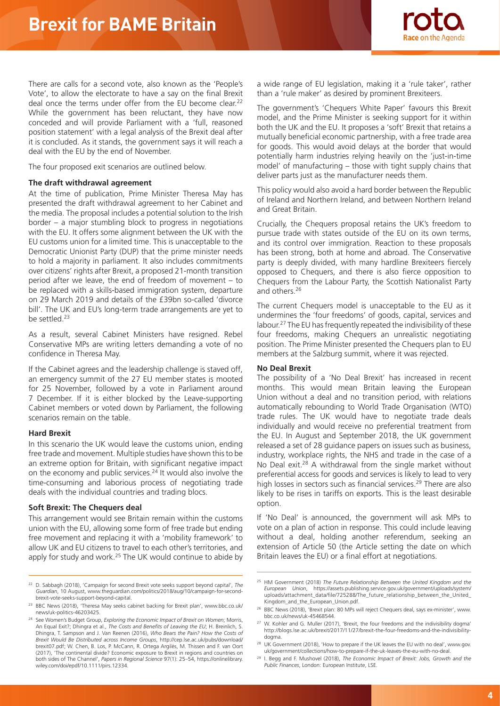

There are calls for a second vote, also known as the 'People's Vote', to allow the electorate to have a say on the final Brexit deal once the terms under offer from the EU become clear.<sup>22</sup> While the government has been reluctant, they have now conceded and will provide Parliament with a 'full, reasoned position statement' with a legal analysis of the Brexit deal after it is concluded. As it stands, the government says it will reach a deal with the EU by the end of November.

The four proposed exit scenarios are outlined below.

#### **The draft withdrawal agreement**

At the time of publication, Prime Minister Theresa May has presented the draft withdrawal agreement to her Cabinet and the media. The proposal includes a potential solution to the Irish border – a major stumbling block to progress in negotiations with the EU. It offers some alignment between the UK with the EU customs union for a limited time. This is unacceptable to the Democratic Unionist Party (DUP) that the prime minister needs to hold a majority in parliament. It also includes commitments over citizens' rights after Brexit, a proposed 21-month transition period after we leave, the end of freedom of movement – to be replaced with a skills-based immigration system, departure on 29 March 2019 and details of the £39bn so-called 'divorce bill'. The UK and EU's long-term trade arrangements are yet to be settled.<sup>23</sup>

As a result, several Cabinet Ministers have resigned. Rebel Conservative MPs are writing letters demanding a vote of no confidence in Theresa May.

If the Cabinet agrees and the leadership challenge is staved off, an emergency summit of the 27 EU member states is mooted for 25 November, followed by a vote in Parliament around 7 December. If it is either blocked by the Leave-supporting Cabinet members or voted down by Parliament, the following scenarios remain on the table.

#### **Hard Brexit**

In this scenario the UK would leave the customs union, ending free trade and movement. Multiple studies have shown this to be an extreme option for Britain, with significant negative impact on the economy and public services.24 It would also involve the time-consuming and laborious process of negotiating trade deals with the individual countries and trading blocs.

## **Soft Brexit: The Chequers deal**

This arrangement would see Britain remain within the customs union with the EU, allowing some form of free trade but ending free movement and replacing it with a 'mobility framework' to allow UK and EU citizens to travel to each other's territories, and apply for study and work.<sup>25</sup> The UK would continue to abide by a wide range of EU legislation, making it a 'rule taker', rather than a 'rule maker' as desired by prominent Brexiteers.

The government's 'Chequers White Paper' favours this Brexit model, and the Prime Minister is seeking support for it within both the UK and the EU. It proposes a 'soft' Brexit that retains a mutually beneficial economic partnership, with a free trade area for goods. This would avoid delays at the border that would potentially harm industries relying heavily on the 'just-in-time model' of manufacturing – those with tight supply chains that deliver parts just as the manufacturer needs them.

This policy would also avoid a hard border between the Republic of Ireland and Northern Ireland, and between Northern Ireland and Great Britain.

Crucially, the Chequers proposal retains the UK's freedom to pursue trade with states outside of the EU on its own terms, and its control over immigration. Reaction to these proposals has been strong, both at home and abroad. The Conservative party is deeply divided, with many hardline Brexiteers fiercely opposed to Chequers, and there is also fierce opposition to Chequers from the Labour Party, the Scottish Nationalist Party and others.26

The current Chequers model is unacceptable to the EU as it undermines the 'four freedoms' of goods, capital, services and labour.<sup>27</sup> The EU has frequently repeated the indivisibility of these four freedoms, making Chequers an unrealistic negotiating position. The Prime Minister presented the Chequers plan to EU members at the Salzburg summit, where it was rejected.

#### **No Deal Brexit**

The possibility of a 'No Deal Brexit' has increased in recent months. This would mean Britain leaving the European Union without a deal and no transition period, with relations automatically rebounding to World Trade Organisation (WTO) trade rules. The UK would have to negotiate trade deals individually and would receive no preferential treatment from the EU. In August and September 2018, the UK government released a set of 28 guidance papers on issues such as business, industry, workplace rights, the NHS and trade in the case of a No Deal exit.<sup>28</sup> A withdrawal from the single market without preferential access for goods and services is likely to lead to very high losses in sectors such as financial services.<sup>29</sup> There are also likely to be rises in tariffs on exports. This is the least desirable option.

If 'No Deal' is announced, the government will ask MPs to vote on a plan of action in response. This could include leaving without a deal, holding another referendum, seeking an extension of Article 50 (the Article setting the date on which Britain leaves the EU) or a final effort at negotiations.

<sup>22</sup> D. Sabbagh (2018), 'Campaign for second Brexit vote seeks support beyond capital', *The Guardian*, 10 August, www.theguardian.com/politics/2018/aug/10/campaign-for-secondbrexit-vote-seeks-support-beyond-capital.

<sup>23</sup> BBC News (2018), 'Theresa May seeks cabinet backing for Brexit plan', www.bbc.co.uk/ news/uk-politics-46203425.

<sup>24</sup> See Women's Budget Group, *Exploring the Economic Impact of Brexit on Women*; Morris, An Equal Exit?; Dhingra et al., *The Costs and Benefits of Leaving the EU*; H. Breinlich, S. Dhingra, T. Sampson and J. Van Reenen (2016), *Who Bears the Pain? How the Costs of Brexit Would Be Distributed across Income Groups*, http://cep.lse.ac.uk/pubs/download/ brexit07.pdf; W. Chen, B. Los, P. McCann, R. Ortega Argilés, M. Thissen and F. van Oort (2017), 'The continental divide? Economic exposure to Brexit in regions and countries on both sides of The Channel', *Papers in Regional Science* 97(1): 25–54, https://onlinelibrary. wiley.com/doi/epdf/10.1111/pirs.12334.

<sup>25</sup> HM Government (2018) *The Future Relationship Between the United Kingdom and the European Union*, https://assets.publishing.service.gov.uk/government/uploads/system/ uploads/attachment\_data/file/725288/The\_future\_relationship\_between\_the\_United\_ Kingdom\_and\_the\_European\_Union.pdf.

<sup>&</sup>lt;sup>26</sup> BBC News (2018), 'Brexit plan: 80 MPs will reject Chequers deal, says ex-minister', www. bbc.co.uk/news/uk-45468544.

<sup>&</sup>lt;sup>27</sup> W. Kohler and G. Muller (2017), 'Brexit, the four freedoms and the indivisibility dogma' http://blogs.lse.ac.uk/brexit/2017/11/27/brexit-the-four-freedoms-and-the-indivisibilitydogma.

<sup>&</sup>lt;sup>28</sup> UK Government (2018), 'How to prepare if the UK leaves the EU with no deal', www.gov. uk/government/collections/how-to-prepare-if-the-uk-leaves-the-eu-with-no-deal.

<sup>29</sup> I. Begg and F. Mushovel (2018), *The Economic Impact of Brexit: Jobs, Growth and the Public Finances*, London: European Institute, LSE.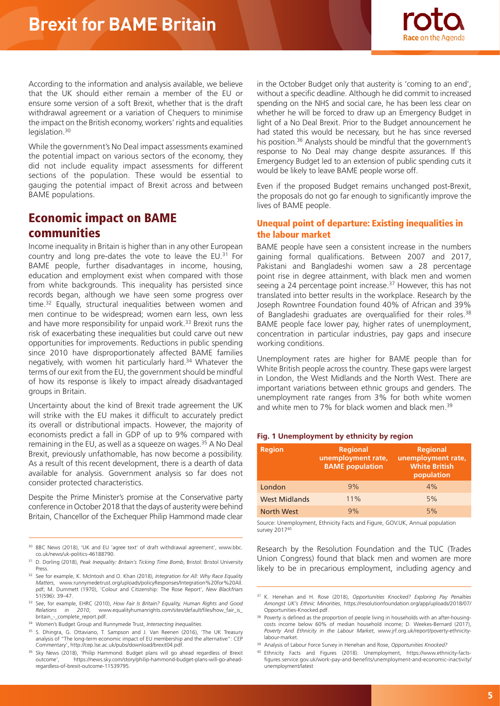

According to the information and analysis available, we believe that the UK should either remain a member of the EU or ensure some version of a soft Brexit, whether that is the draft withdrawal agreement or a variation of Chequers to minimise the impact on the British economy, workers' rights and equalities legislation.<sup>30</sup>

While the government's No Deal impact assessments examined the potential impact on various sectors of the economy, they did not include equality impact assessments for different sections of the population. These would be essential to gauging the potential impact of Brexit across and between BAME populations.

# Economic impact on BAME communities

Income inequality in Britain is higher than in any other European country and long pre-dates the vote to leave the EU.31 For BAME people, further disadvantages in income, housing, education and employment exist when compared with those from white backgrounds. This inequality has persisted since records began, although we have seen some progress over time.32 Equally, structural inequalities between women and men continue to be widespread; women earn less, own less and have more responsibility for unpaid work.<sup>33</sup> Brexit runs the risk of exacerbating these inequalities but could carve out new opportunities for improvements. Reductions in public spending since 2010 have disproportionately affected BAME families negatively, with women hit particularly hard.<sup>34</sup> Whatever the terms of our exit from the EU, the government should be mindful of how its response is likely to impact already disadvantaged groups in Britain.

Uncertainty about the kind of Brexit trade agreement the UK will strike with the EU makes it difficult to accurately predict its overall or distributional impacts. However, the majority of economists predict a fall in GDP of up to 9% compared with remaining in the EU, as well as a squeeze on wages.<sup>35</sup> A No Deal Brexit, previously unfathomable, has now become a possibility. As a result of this recent development, there is a dearth of data available for analysis. Government analysis so far does not consider protected characteristics.

Despite the Prime Minister's promise at the Conservative party conference in October 2018 that the days of austerity were behind Britain, Chancellor of the Exchequer Philip Hammond made clear in the October Budget only that austerity is 'coming to an end', without a specific deadline. Although he did commit to increased spending on the NHS and social care, he has been less clear on whether he will be forced to draw up an Emergency Budget in light of a No Deal Brexit. Prior to the Budget announcement he had stated this would be necessary, but he has since reversed his position.<sup>36</sup> Analysts should be mindful that the government's response to No Deal may change despite assurances. If this Emergency Budget led to an extension of public spending cuts it would be likely to leave BAME people worse off.

Even if the proposed Budget remains unchanged post-Brexit, the proposals do not go far enough to significantly improve the lives of BAME people.

# Unequal point of departure: Existing inequalities in the labour market

BAME people have seen a consistent increase in the numbers gaining formal qualifications. Between 2007 and 2017, Pakistani and Bangladeshi women saw a 28 percentage point rise in degree attainment, with black men and women seeing a 24 percentage point increase.<sup>37</sup> However, this has not translated into better results in the workplace. Research by the Joseph Rowntree Foundation found 40% of African and 39% of Bangladeshi graduates are overqualified for their roles.<sup>38</sup> BAME people face lower pay, higher rates of unemployment, concentration in particular industries, pay gaps and insecure working conditions.

Unemployment rates are higher for BAME people than for White British people across the country. These gaps were largest in London, the West Midlands and the North West. There are important variations between ethnic groups and genders. The unemployment rate ranges from 3% for both white women and white men to 7% for black women and black men.<sup>39</sup>

#### **Fig. 1 Unemployment by ethnicity by region**

| <b>Region</b>        | <b>Regional</b><br>unemployment rate,<br><b>BAME</b> population | <b>Regional</b><br>unemployment rate,<br><b>White British</b><br>population |
|----------------------|-----------------------------------------------------------------|-----------------------------------------------------------------------------|
| London               | 9%                                                              | 4%                                                                          |
| <b>West Midlands</b> | 11%                                                             | 5%                                                                          |
| <b>North West</b>    | 9%                                                              | 5%                                                                          |

Source: Unemployment, Ethnicity Facts and Figure, GOV.UK, Annual population survey 201740

Research by the Resolution Foundation and the TUC (Trades Union Congress) found that black men and women are more likely to be in precarious employment, including agency and

<sup>30</sup> BBC News (2018), 'UK and EU 'agree text' of draft withdrawal agreement', www.bbc. co.uk/news/uk-politics-46188790.

<sup>31</sup> D. Dorling (2018), *Peak Inequality: Britain's Ticking Time Bomb*, Bristol: Bristol University Proce

<sup>32</sup> See for example, K. McIntosh and O. Khan (2018), *Integration for All: Why Race Equality Matters*, www.runnymedetrust.org/uploads/policyResponses/Integration%20for%20All. pdf; M. Dummett (1970), 'Colour and Citizenship: The Rose Report', *New Blackfriars*  51(596): 39–47.

<sup>33</sup> See, for example, EHRC (2010), *How Fair Is Britain? Equality, Human Rights and Good Relations in 2010*, www.equalityhumanrights.com/sites/default/files/how\_fair\_is\_ britain\_-\_complete\_report.pdf.

<sup>34</sup> Women's Budget Group and Runnymede Trust, *Intersecting Inequalities*.

<sup>&</sup>lt;sup>35</sup> S. Dhingra, G. Ottaviano, T. Sampson and J. Van Reenen (2016), 'The UK Treasury analysis of "The long-term economic impact of EU membership and the alternative": CEP Commentary', http://cep.lse.ac.uk/pubs/download/brexit04.pdf.

<sup>36</sup> Sky News (2018), 'Philip Hammond: Budget plans will go ahead regardless of Brexit outcome', https://news.sky.com/story/philip-hammond-budget-plans-will-go-aheadregardless-of-brexit-outcome-11539795.

<sup>37</sup> K. Henehan and H. Rose (2018), *Opportunities Knocked? Exploring Pay Penalties Amongst UK's Ethnic Minorities*, https://resolutionfoundation.org/app/uploads/2018/07/ Opportunities-Knocked.pdf.

<sup>&</sup>lt;sup>38</sup> Poverty is defined as the proportion of people living in households with an after-housingcosts income below 60% of median household income; D. Weekes-Bernard (2017), *Poverty And Ethnicity in the Labour Market*, www.jrf.org.uk/report/poverty-ethnicitylabour-market.

<sup>39</sup> Analysis of Labour Force Survey in Henehan and Rose, *Opportunities Knocked?*

<sup>40</sup> Ethnicity Facts and Figures (2018). Unemployment, https://www.ethnicity-factsfigures.service.gov.uk/work-pay-and-benefits/unemployment-and-economic-inactivity/ unemployment/latest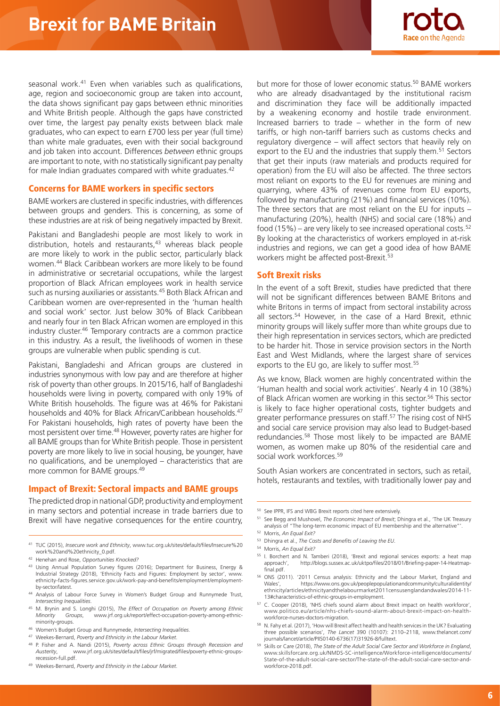seasonal work.<sup>41</sup> Even when variables such as qualifications, age, region and socioeconomic group are taken into account, the data shows significant pay gaps between ethnic minorities and White British people. Although the gaps have constricted over time, the largest pay penalty exists between black male graduates, who can expect to earn £700 less per year (full time) than white male graduates, even with their social background and job taken into account. Differences *between* ethnic groups are important to note, with no statistically significant pay penalty for male Indian graduates compared with white graduates.<sup>42</sup>

## Concerns for BAME workers in specific sectors

BAME workers are clustered in specific industries, with differences between groups and genders. This is concerning, as some of these industries are at risk of being negatively impacted by Brexit.

Pakistani and Bangladeshi people are most likely to work in distribution, hotels and restaurants,<sup>43</sup> whereas black people are more likely to work in the public sector, particularly black women.44 Black Caribbean workers are more likely to be found in administrative or secretarial occupations, while the largest proportion of Black African employees work in health service such as nursing auxiliaries or assistants.<sup>45</sup> Both Black African and Caribbean women are over-represented in the 'human health and social work' sector. Just below 30% of Black Caribbean and nearly four in ten Black African women are employed in this industry cluster.46 Temporary contracts are a common practice in this industry. As a result, the livelihoods of women in these groups are vulnerable when public spending is cut.

Pakistani, Bangladeshi and African groups are clustered in industries synonymous with low pay and are therefore at higher risk of poverty than other groups. In 2015/16, half of Bangladeshi households were living in poverty, compared with only 19% of White British households. The figure was at 46% for Pakistani households and 40% for Black African/Caribbean households.<sup>47</sup> For Pakistani households, high rates of poverty have been the most persistent over time.48 However, poverty rates are higher for all BAME groups than for White British people. Those in persistent poverty are more likely to live in social housing, be younger, have no qualifications, and be unemployed – characteristics that are more common for BAME groups.49

#### Impact of Brexit: Sectoral impacts and BAME groups

The predicted drop in national GDP, productivity and employment in many sectors and potential increase in trade barriers due to Brexit will have negative consequences for the entire country.

<sup>49</sup> Weekes-Bernard, *Poverty and Ethnicity in the Labour Market*.



#### Soft Brexit risks

In the event of a soft Brexit, studies have predicted that there will not be significant differences between BAME Britons and white Britons in terms of impact from sectoral instability across all sectors.54 However, in the case of a Hard Brexit, ethnic minority groups will likely suffer more than white groups due to their high representation in services sectors, which are predicted to be harder hit. Those in service provision sectors in the North East and West Midlands, where the largest share of services exports to the EU go, are likely to suffer most.<sup>55</sup>

As we know, Black women are highly concentrated within the 'Human health and social work activities'. Nearly 4 in 10 (38%) of Black African women are working in this sector.<sup>56</sup> This sector is likely to face higher operational costs, tighter budgets and greater performance pressures on staff.57 The rising cost of NHS and social care service provision may also lead to Budget-based redundancies.58 Those most likely to be impacted are BAME women, as women make up 80% of the residential care and social work workforces.59

South Asian workers are concentrated in sectors, such as retail, hotels, restaurants and textiles, with traditionally lower pay and

<sup>51</sup> See Begg and Mushovel, *The Economic Impact of Brexit*; Dhingra et al., 'The UK Treasury analysis of "The long-term economic impact of EU membership and the alternative"'.

<sup>53</sup> Dhingra et al., *The Costs and Benefits of Leaving the EU*.

- <sup>55</sup> I. Borchert and N. Tamberi (2018), 'Brexit and regional services exports: a heat map http://blogs.sussex.ac.uk/uktpo/files/2018/01/Briefing-paper-14-Heatmapfinal.pdf.
- <sup>56</sup> ONS (2011). '2011 Census analysis: Ethnicity and the Labour Market, England and https://www.ons.gov.uk/peoplepopulationandcommunity/culturalidentity/ ethnicity/articles/ethnicityandthelabourmarket2011censusenglandandwales/2014-11- 13#characteristics-of-ethnic-groups-in-employment.
- <sup>57</sup> C. Cooper (2018), 'NHS chiefs sound alarm about Brexit impact on health workforce', www.politico.eu/article/nhs-chiefs-sound-alarm-about-brexit-impact-on-healthworkforce-nurses-doctors-migration.
- 58 N. Fahy et al. (2017), 'How will Brexit affect health and health services in the UK? Evaluating three possible scenarios', *The Lancet* 390 (10107): 2110–2118, www.thelancet.com/ journals/lancet/article/PIIS0140-6736(17)31926-8/fulltext.
- <sup>59</sup> Skills or Care (2018), *The State of the Adult Social Care Sector and Workforce in England*, www.skillsforcare.org.uk/NMDS-SC-intelligence/Workforce-intelligence/documents/ State-of-the-adult-social-care-sector/The-state-of-the-adult-social-care-sector-andworkforce-2018.pdf.

<sup>41</sup> TUC (2015), *Insecure work and Ethnicity*, www.tuc.org.uk/sites/default/files/Insecure%20 work%20and%20ethnicity\_0.pdf.

<sup>42</sup> Henehan and Rose, *Opportunities Knocked?*

<sup>43</sup> Using Annual Population Survey figures (2016); Department for Business, Energy & Industrial Strategy (2018), 'Ethnicity Facts and Figures: Employment by sector', www. ethnicity-facts-figures.service.gov.uk/work-pay-and-benefits/employment/employmentby-sector/latest.

<sup>44</sup> Analysis of Labour Force Survey in Women's Budget Group and Runnymede Trust, *Intersecting Inequalities*.

<sup>45</sup> M. Brynin and S. Longhi (2015), *The Effect of Occupation on Poverty among Ethnic Minority Groups*, www.jrf.org.uk/report/effect-occupation-poverty-among-ethnicminority-groups.

<sup>46</sup> Women's Budget Group and Runnymede, *Intersecting Inequalities*.

<sup>47</sup> Weekes-Bernard, *Poverty and Ethnicity in the Labour Market*.

<sup>48</sup> P. Fisher and A. Nandi (2015), *Poverty across Ethnic Groups through Recession and Austerity*, www.jrf.org.uk/sites/default/files/jrf/migrated/files/poverty-ethnic-groupsrecession-full.pdf.

<sup>50</sup> See IPPR, IFS and WBG Brexit reports cited here extensively.

<sup>52</sup> Morris, *An Equal Exit?*

<sup>54</sup> Morris, *An Equal Exit?*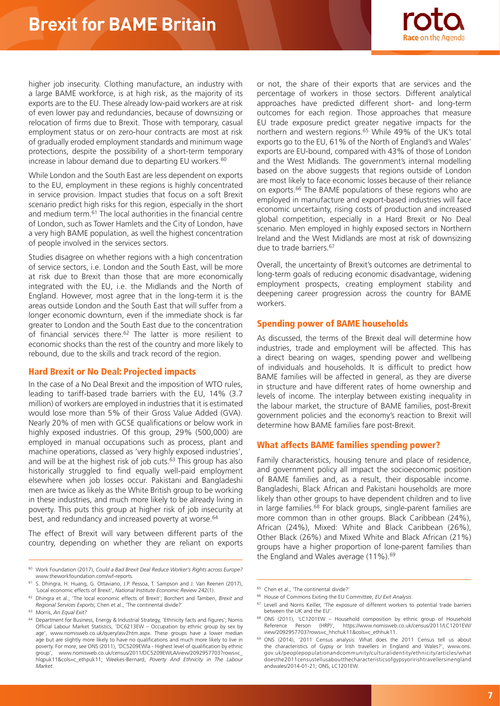

higher job insecurity. Clothing manufacture, an industry with a large BAME workforce, is at high risk, as the majority of its exports are to the EU. These already low-paid workers are at risk of even lower pay and redundancies, because of downsizing or relocation of firms due to Brexit. Those with temporary, casual employment status or on zero-hour contracts are most at risk of gradually eroded employment standards and minimum wage protections, despite the possibility of a short-term temporary increase in labour demand due to departing EU workers.<sup>60</sup>

While London and the South East are less dependent on exports to the EU, employment in these regions is highly concentrated in service provision. Impact studies that focus on a soft Brexit scenario predict high risks for this region, especially in the short and medium term.61 The local authorities in the financial centre of London, such as Tower Hamlets and the City of London, have a very high BAME population, as well the highest concentration of people involved in the services sectors.

Studies disagree on whether regions with a high concentration of service sectors, i.e. London and the South East, will be more at risk due to Brexit than those that are more economically integrated with the EU, i.e. the Midlands and the North of England. However, most agree that in the long-term it is the areas outside London and the South East that will suffer from a longer economic downturn, even if the immediate shock is far greater to London and the South East due to the concentration of financial services there.<sup>62</sup> The latter is more resilient to economic shocks than the rest of the country and more likely to rebound, due to the skills and track record of the region.

## Hard Brexit or No Deal: Projected impacts

In the case of a No Deal Brexit and the imposition of WTO rules, leading to tariff-based trade barriers with the EU, 14% (3.7 million) of workers are employed in industries that it is estimated would lose more than 5% of their Gross Value Added (GVA). Nearly 20% of men with GCSE qualifications or below work in highly exposed industries. Of this group, 29% (500,000) are employed in manual occupations such as process, plant and machine operations, classed as 'very highly exposed industries', and will be at the highest risk of job cuts. $63$  This group has also historically struggled to find equally well-paid employment elsewhere when job losses occur. Pakistani and Bangladeshi men are twice as likely as the White British group to be working in these industries, and much more likely to be already living in poverty. This puts this group at higher risk of job insecurity at best, and redundancy and increased poverty at worse.<sup>64</sup>

The effect of Brexit will vary between different parts of the country, depending on whether they are reliant on exports

or not, the share of their exports that are services and the percentage of workers in those sectors. Different analytical approaches have predicted different short- and long-term outcomes for each region. Those approaches that measure EU trade exposure predict greater negative impacts for the northern and western regions.<sup>65</sup> While 49% of the UK's total exports go to the EU, 61% of the North of England's and Wales' exports are EU-bound, compared with 43% of those of London and the West Midlands. The government's internal modelling based on the above suggests that regions outside of London are most likely to face economic losses because of their reliance on exports.66 The BAME populations of these regions who are employed in manufacture and export-based industries will face economic uncertainty, rising costs of production and increased global competition, especially in a Hard Brexit or No Deal scenario. Men employed in highly exposed sectors in Northern Ireland and the West Midlands are most at risk of downsizing due to trade barriers.<sup>67</sup>

Overall, the uncertainty of Brexit's outcomes are detrimental to long-term goals of reducing economic disadvantage, widening employment prospects, creating employment stability and deepening career progression across the country for BAME workers.

## Spending power of BAME households

As discussed, the terms of the Brexit deal will determine how industries, trade and employment will be affected. This has a direct bearing on wages, spending power and wellbeing of individuals and households. It is difficult to predict how BAME families will be affected in general, as they are diverse in structure and have different rates of home ownership and levels of income. The interplay between existing inequality in the labour market, the structure of BAME families, post-Brexit government policies and the economy's reaction to Brexit will determine how BAME families fare post-Brexit.

# What affects BAME families spending power?

Family characteristics, housing tenure and place of residence, and government policy all impact the socioeconomic position of BAME families and, as a result, their disposable income. Bangladeshi, Black African and Pakistani households are more likely than other groups to have dependent children and to live in large families.<sup>68</sup> For black groups, single-parent families are more common than in other groups. Black Caribbean (24%), African (24%), Mixed: White and Black Caribbean (26%), Other Black (26%) and Mixed White and Black African (21%) groups have a higher proportion of lone-parent families than the England and Wales average (11%).<sup>69</sup>

<sup>60</sup> Work Foundation (2017), *Could a Bad Brexit Deal Reduce Worker's Rights across Europe?* www.theworkfoundation.com/wf-reports.

<sup>61</sup> S. Dhingra, H. Huang, G. Ottaviano, J.P. Pessoa, T. Sampson and J. Van Reenen (2017), 'Local economic effects of Brexit', *National Institute Economic Review* 242(1).

<sup>62</sup> Dhingra et al., 'The local economic effects of Brexit'; Borchert and Tamberi, *Brexit and Regional Services Exports*; Chen et al., 'The continental divide?'

<sup>63</sup> Morris, *An Equal Exit?*

<sup>64</sup> Department for Business, Energy & Industrial Strategy, 'Ethnicity facts and figures'; Nomis Official Labour Market Statistics, 'DC6213EW – Occupation by ethnic group by sex by age', www.nomisweb.co.uk/query/asv2htm.aspx. These groups have a lower median age but are slightly more likely to have no qualifications and much more likely to live in poverty. For more, see ONS (2011), 'DC5209EWla - Highest level of qualification by ethnic group', www.nomisweb.co.uk/census/2011/DC5209EWLA/view/2092957703?rows=c\_ hlqpuk11&cols=c\_ethpuk11; Weekes-Bernard, *Poverty And Ethnicity in The Labour Market*.

<sup>65</sup> Chen et al., 'The continental divide?'

<sup>66</sup> House of Commons Exiting the EU Committee, *EU Exit Analysis*.

<sup>&</sup>lt;sup>67</sup> Levell and Norris Keiller, 'The exposure of different workers to potential trade barriers between the UK and the EU'.

<sup>&</sup>lt;sup>68</sup> ONS (2011), 'LC1201EW – Household composition by ethnic group of Household<br>Reference Person (HRP)', https://www.nomisweb.co.uk/census/2011/LC1201EW/ Reference Person (HRP)', https://www.nomisweb.co.uk/census/2011/LC1201EW/ view/2092957703?rows=c\_hhchuk11&cols=c\_ethhuk11.

<sup>69</sup> ONS (2014), '2011 Census analysis: What does the 2011 Census tell us about the characteristics of Gypsy or Irish travellers in England and Wales?', www.ons. gov.uk/peoplepopulationandcommunity/culturalidentity/ethnicity/articles/what doesthe2011censustellusaboutthecharacteristicsofgypsyoririshtravellersinengland andwales/2014-01-21; ONS, LC1201EW.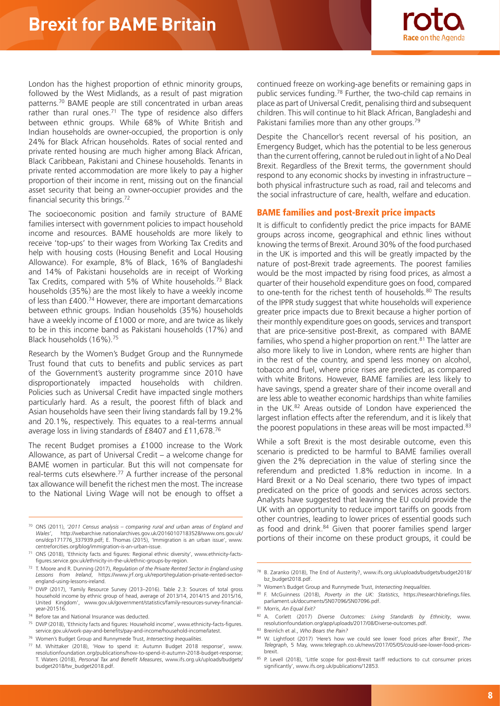

London has the highest proportion of ethnic minority groups, followed by the West Midlands, as a result of past migration patterns.70 BAME people are still concentrated in urban areas rather than rural ones.<sup>71</sup> The type of residence also differs between ethnic groups. While 68% of White British and Indian households are owner-occupied, the proportion is only 24% for Black African households. Rates of social rented and private rented housing are much higher among Black African, Black Caribbean, Pakistani and Chinese households. Tenants in private rented accommodation are more likely to pay a higher proportion of their income in rent, missing out on the financial asset security that being an owner-occupier provides and the financial security this brings.72

The socioeconomic position and family structure of BAME families intersect with government policies to impact household income and resources. BAME households are more likely to receive 'top-ups' to their wages from Working Tax Credits and help with housing costs (Housing Benefit and Local Housing Allowance). For example, 8% of Black, 16% of Bangladeshi and 14% of Pakistani households are in receipt of Working Tax Credits, compared with 5% of White households.<sup>73</sup> Black households (35%) are the most likely to have a weekly income of less than £400.74 However, there are important demarcations between ethnic groups. Indian households (35%) households have a weekly income of £1000 or more, and are twice as likely to be in this income band as Pakistani households (17%) and Black households (16%).75

Research by the Women's Budget Group and the Runnymede Trust found that cuts to benefits and public services as part of the Government's austerity programme since 2010 have disproportionately impacted households with children. Policies such as Universal Credit have impacted single mothers particularly hard. As a result, the poorest fifth of black and Asian households have seen their living standards fall by 19.2% and 20.1%, respectively. This equates to a real-terms annual average loss in living standards of £8407 and £11,678.76

The recent Budget promises a £1000 increase to the Work Allowance, as part of Universal Credit – a welcome change for BAME women in particular. But this will not compensate for real-terms cuts elsewhere.77 A further increase of the personal tax allowance will benefit the richest men the most. The increase to the National Living Wage will not be enough to offset a

- <sup>70</sup> ONS (2011), *'2011 Census analysis comparing rural and urban areas of England and Wales'*, http://webarchive.nationalarchives.gov.uk/20160107183528/www.ons.gov.uk/ ons/dcp171776\_337939.pdf; E. Thomas (2015), 'Immigration is an urban issue', www. centreforcities.org/blog/immigration-is-an-urban-issue.
- ONS (2018), 'Ethnicity facts and figures: Regional ethnic diversity', www.ethnicity-factsfigures.service.gov.uk/ethnicity-in-the-uk/ethnic-groups-by-region.
- <sup>72</sup> T. Moore and R. Dunning (2017), *Regulation of the Private Rented Sector in England using Lessons from Ireland*, https://www.jrf.org.uk/report/regulation-private-rented-sectorengland-using-lessons-ireland.
- <sup>73</sup> DWP (2017), 'Family Resource Survey (2013–2016). Table 2.3: Sources of total gross household income by ethnic group of head, average of 2013/14, 2014/15 and 2015/16, United Kingdom', www.gov.uk/government/statistics/family-resources-survey-financialyear-201516.
- <sup>74</sup> Before tax and National Insurance was deducted.
- <sup>75</sup> DWP (2018), 'Ethnicity facts and figures: Household income', www.ethnicity-facts-figures. service.gov.uk/work-pay-and-benefits/pay-and-income/household-income/latest.
- <sup>76</sup> Women's Budget Group and Runnymede Trust, *Intersecting Inequalities*.

continued freeze on working-age benefits or remaining gaps in public services funding.78 Further, the two-child cap remains in place as part of Universal Credit, penalising third and subsequent children. This will continue to hit Black African, Bangladeshi and Pakistani families more than any other groups.<sup>79</sup>

Despite the Chancellor's recent reversal of his position, an Emergency Budget, which has the potential to be less generous than the current offering, cannot be ruled out in light of a No Deal Brexit. Regardless of the Brexit terms, the government should respond to any economic shocks by investing in infrastructure – both physical infrastructure such as road, rail and telecoms and the social infrastructure of care, health, welfare and education.

## BAME families and post-Brexit price impacts

It is difficult to confidently predict the price impacts for BAME groups across income, geographical and ethnic lines without knowing the terms of Brexit. Around 30% of the food purchased in the UK is imported and this will be greatly impacted by the nature of post-Brexit trade agreements. The poorest families would be the most impacted by rising food prices, as almost a quarter of their household expenditure goes on food, compared to one-tenth for the richest tenth of households.<sup>80</sup> The results of the IPPR study suggest that white households will experience greater price impacts due to Brexit because a higher portion of their monthly expenditure goes on goods, services and transport that are price-sensitive post-Brexit, as compared with BAME families, who spend a higher proportion on rent.<sup>81</sup> The latter are also more likely to live in London, where rents are higher than in the rest of the country, and spend less money on alcohol, tobacco and fuel, where price rises are predicted, as compared with white Britons. However, BAME families are less likely to have savings, spend a greater share of their income overall and are less able to weather economic hardships than white families in the UK.82 Areas outside of London have experienced the largest inflation effects after the referendum, and it is likely that the poorest populations in these areas will be most impacted.<sup>83</sup>

While a soft Brexit is the most desirable outcome, even this scenario is predicted to be harmful to BAME families overall given the 2% depreciation in the value of sterling since the referendum and predicted 1.8% reduction in income. In a Hard Brexit or a No Deal scenario, there two types of impact predicated on the price of goods and services across sectors. Analysts have suggested that leaving the EU could provide the UK with an opportunity to reduce import tariffs on goods from other countries, leading to lower prices of essential goods such as food and drink.84 Given that poorer families spend larger portions of their income on these product groups, it could be

<sup>80</sup> F. McGuinness (2018), *Poverty in the UK: Statistics*, https://researchbriefings.files. parliament.uk/documents/SN07096/SN07096.pdf.

- <sup>82</sup> A. Corlett (2017) *Diverse Outcomes: Living Standards by Ethnicity*, www. resolutionfoundation.org/app/uploads/2017/08/Diverse-outcomes.pdf.
- <sup>83</sup> Breinlich et al., *Who Bears the Pain?*

<sup>77</sup> M. Whittaker (2018), 'How to spend it: Autumn Budget 2018 response', www. resolutionfoundation.org/publications/how-to-spend-it-autumn-2018-budget-response; T. Waters (2018), *Personal Tax and Benefit Measures*, www.ifs.org.uk/uploads/budgets/ budget2018/tw\_budget2018.pdf.

<sup>78</sup> B. Zaranko (2018), The End of Austerity?, www.ifs.org.uk/uploads/budgets/budget2018/ bz\_budget2018.pdf.

<sup>79</sup> Women's Budget Group and Runnymede Trust, *Intersecting Inequalities*.

<sup>81</sup> Morris, *An Equal Exit?*

<sup>84</sup> W. Lightfoot (2017) 'Here's how we could see lower food prices after Brexit', *The Telegraph*, 5 May, www.telegraph.co.uk/news/2017/05/05/could-see-lower-food-pricesbrexit.

<sup>85</sup> P. Levell (2018), 'Little scope for post-Brexit tariff reductions to cut consumer prices significantly', www.ifs.org.uk/publications/12853.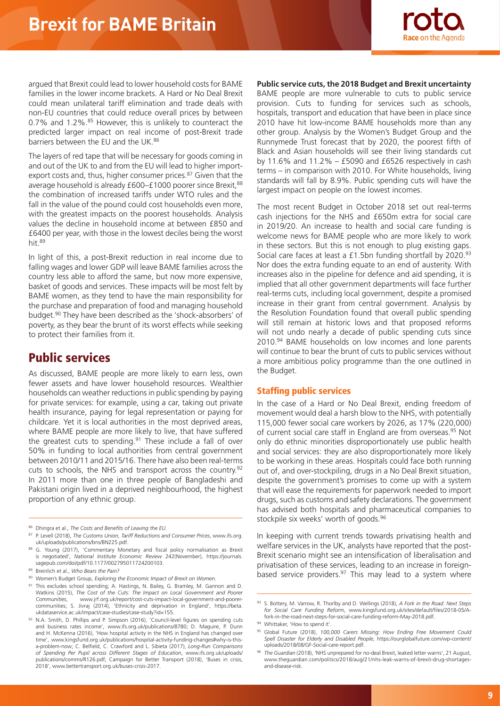

argued that Brexit could lead to lower household costs for BAME families in the lower income brackets. A Hard or No Deal Brexit could mean unilateral tariff elimination and trade deals with non-EU countries that could reduce overall prices by between 0.7% and  $1.2\%$ .  $85$  However, this is unlikely to counteract the predicted larger impact on real income of post-Brexit trade barriers between the EU and the UK.<sup>86</sup>

The layers of red tape that will be necessary for goods coming in and out of the UK to and from the EU will lead to higher importexport costs and, thus, higher consumer prices.<sup>87</sup> Given that the average household is already £600-£1000 poorer since Brexit, 88 the combination of increased tariffs under WTO rules and the fall in the value of the pound could cost households even more, with the greatest impacts on the poorest households. Analysis values the decline in household income at between £850 and £6400 per year, with those in the lowest deciles being the worst hit.89

In light of this, a post-Brexit reduction in real income due to falling wages and lower GDP will leave BAME families across the country less able to afford the same, but now more expensive, basket of goods and services. These impacts will be most felt by BAME women, as they tend to have the main responsibility for the purchase and preparation of food and managing household budget.90 They have been described as the 'shock-absorbers' of poverty, as they bear the brunt of its worst effects while seeking to protect their families from it.

# Public services

As discussed, BAME people are more likely to earn less, own fewer assets and have lower household resources. Wealthier households can weather reductions in public spending by paying for private services: for example, using a car, taking out private health insurance, paying for legal representation or paying for childcare. Yet it is local authorities in the most deprived areas, where BAME people are more likely to live, that have suffered the greatest cuts to spending.<sup>91</sup> These include a fall of over 50% in funding to local authorities from central government between 2010/11 and 2015/16. There have also been real-terms cuts to schools, the NHS and transport across the country.<sup>92</sup> In 2011 more than one in three people of Bangladeshi and Pakistani origin lived in a deprived neighbourhood, the highest proportion of any ethnic group.

- 91 This excludes school spending; A. Hastings, N. Bailey, G. Bramley, M. Gannon and D. Watkins (2015), *The Cost of the Cuts: The Impact on Local Government and Poorer Communities*, www.jrf.org.uk/report/cost-cuts-impact-local-government-and-poorer-communities; S. Jivraj (2014), 'Ethnicity and deprivation in England', https://beta. ukdataservice.ac.uk/impact/case-studies/case-study?id=155.
- 92 N.A. Smith, D. Phillips and P. Simpson (2016), 'Council-level figures on spending cuts and business rates income', www.ifs.org.uk/publications/8780; D. Maguire, P. Dunn and H. McKenna (2016), 'How hospital activity in the NHS in England has changed over time', www.kingsfund.org.uk/publications/hospital-activity-funding-changes#why-is-thisa-problem-now; C. Belfield, C. Crawford and L. Sibieta (2017), *Long-Run Comparisons of Spending Per Pupil across Different Stages of Education*, www.ifs.org.uk/uploads/ publications/comms/R126.pdf; Campaign for Better Transport (2018), 'Buses in crisis, 2018', www.bettertransport.org.uk/buses-crisis-2017.

**Public service cuts, the 2018 Budget and Brexit uncertainty** BAME people are more vulnerable to cuts to public service provision. Cuts to funding for services such as schools, hospitals, transport and education that have been in place since 2010 have hit low-income BAME households more than any other group. Analysis by the Women's Budget Group and the Runnymede Trust forecast that by 2020, the poorest fifth of Black and Asian households will see their living standards cut by 11.6% and 11.2% –  $£5090$  and  $£6526$  respectively in cash terms – in comparison with 2010. For White households, living standards will fall by 8.9%. Public spending cuts will have the largest impact on people on the lowest incomes.

The most recent Budget in October 2018 set out real-terms cash injections for the NHS and £650m extra for social care in 2019/20. An increase to health and social care funding is welcome news for BAME people who are more likely to work in these sectors. But this is not enough to plug existing gaps. Social care faces at least a £1.5bn funding shortfall by 2020.<sup>93</sup> Nor does the extra funding equate to an end of austerity. With increases also in the pipeline for defence and aid spending, it is implied that all other government departments will face further real-terms cuts, including local government, despite a promised increase in their grant from central government. Analysis by the Resolution Foundation found that overall public spending will still remain at historic lows and that proposed reforms will not undo nearly a decade of public spending cuts since 2010.<sup>94</sup> BAME households on low incomes and lone parents will continue to bear the brunt of cuts to public services without a more ambitious policy programme than the one outlined in the Budget.

## Staffing public services

In the case of a Hard or No Deal Brexit, ending freedom of movement would deal a harsh blow to the NHS, with potentially 115,000 fewer social care workers by 2026, as 17% (220,000) of current social care staff in England are from overseas.<sup>95</sup> Not only do ethnic minorities disproportionately use public health and social services: they are also disproportionately more likely to be working in these areas. Hospitals could face both running out of, and over-stockpiling, drugs in a No Deal Brexit situation, despite the government's promises to come up with a system that will ease the requirements for paperwork needed to import drugs, such as customs and safety declarations. The government has advised both hospitals and pharmaceutical companies to stockpile six weeks' worth of goods.96

In keeping with current trends towards privatising health and welfare services in the UK, analysts have reported that the post-Brexit scenario might see an intensification of liberalisation and privatisation of these services, leading to an increase in foreignbased service providers. $97$  This may lead to a system where

<sup>86</sup> Dhingra et al., *The Costs and Benefits of Leaving the EU*.

<sup>87</sup> P. Levell (2018), *The Customs Union, Tariff Reductions and Consumer Prices*, www.ifs.org. uk/uploads/publications/bns/BN225.pdf.

<sup>88</sup> G. Young (2017), 'Commentary Monetary and fiscal policy normalisation as Brexit is negotiated', *National Institute Economic Review* 242(November), https://journals. sagepub.com/doi/pdf/10.1177/002795011724200103.

<sup>89</sup> Breinlich et al., *Who Bears the Pain?*

<sup>90</sup> Women's Budget Group, *Exploring the Economic Impact of Brexit on Women*.

<sup>93</sup> S. Bottery, M. Varrow, R. Thorlby and D. Wellings (2018), *A Fork in the Road: Next Steps for Social Care Funding Reform*, www.kingsfund.org.uk/sites/default/files/2018-05/Afork-in-the-road-next-steps-for-social-care-funding-reform-May-2018.pdf.

<sup>94</sup> Whittaker, 'How to spend it'.

<sup>95</sup> Global Future (2018), *100,000 Carers Missing: How Ending Free Movement Could Spell Disaster for Elderly and Disabled People*, https://ourglobalfuture.com/wp-content/ uploads/2018/08/GF-Social-care-report.pdf.

<sup>96</sup> *The Guardian* (2018), 'NHS unprepared for no-deal Brexit, leaked letter warns', 21 August, www.theguardian.com/politics/2018/aug/21/nhs-leak-warns-of-brexit-drug-shortagesand-disease-risk.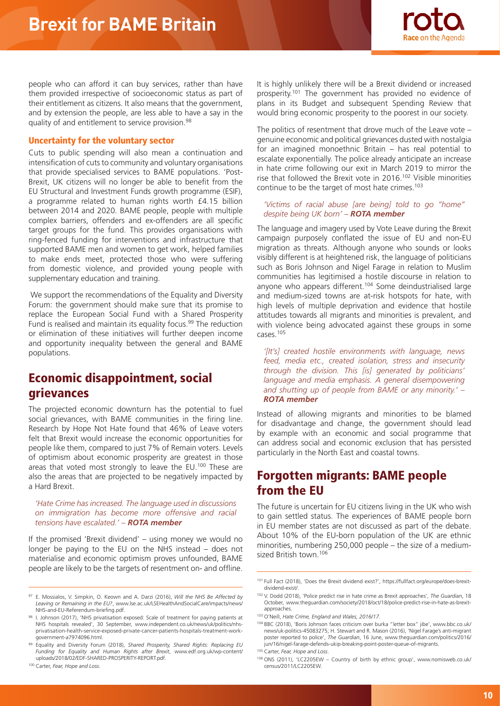

people who can afford it can buy services, rather than have them provided irrespective of socioeconomic status as part of their entitlement as citizens. It also means that the government, and by extension the people, are less able to have a say in the quality of and entitlement to service provision.<sup>98</sup>

## Uncertainty for the voluntary sector

Cuts to public spending will also mean a continuation and intensification of cuts to community and voluntary organisations that provide specialised services to BAME populations. 'Post-Brexit, UK citizens will no longer be able to benefit from the EU Structural and Investment Funds growth programme (ESIF), a programme related to human rights worth £4.15 billion between 2014 and 2020. BAME people, people with multiple complex barriers, offenders and ex-offenders are all specific target groups for the fund. This provides organisations with ring-fenced funding for interventions and infrastructure that supported BAME men and women to get work, helped families to make ends meet, protected those who were suffering from domestic violence, and provided young people with supplementary education and training.

 We support the recommendations of the Equality and Diversity Forum: the government should make sure that its promise to replace the European Social Fund with a Shared Prosperity Fund is realised and maintain its equality focus.<sup>99</sup> The reduction or elimination of these initiatives will further deepen income and opportunity inequality between the general and BAME populations.

# Economic disappointment, social grievances

The projected economic downturn has the potential to fuel social grievances, with BAME communities in the firing line. Research by Hope Not Hate found that 46% of Leave voters felt that Brexit would increase the economic opportunities for people like them, compared to just 7% of Remain voters. Levels of optimism about economic prosperity are greatest in those areas that voted most strongly to leave the EU.<sup>100</sup> These are also the areas that are projected to be negatively impacted by a Hard Brexit.

*'Hate Crime has increased. The language used in discussions on immigration has become more offensive and racial tensions have escalated.' – ROTA member*

If the promised 'Brexit dividend' – using money we would no longer be paying to the EU on the NHS instead – does not materialise and economic optimism proves unfounded, BAME people are likely to be the targets of resentment on- and offline.

It is highly unlikely there will be a Brexit dividend or increased prosperity.101 The government has provided no evidence of plans in its Budget and subsequent Spending Review that would bring economic prosperity to the poorest in our society.

The politics of resentment that drove much of the Leave vote – genuine economic and political grievances dusted with nostalgia for an imagined monoethnic Britain – has real potential to escalate exponentially. The police already anticipate an increase in hate crime following our exit in March 2019 to mirror the rise that followed the Brexit vote in 2016.102 Visible minorities continue to be the target of most hate crimes.<sup>103</sup>

#### *'Victims of racial abuse [are being] told to go "home" despite being UK born' – ROTA member*

The language and imagery used by Vote Leave during the Brexit campaign purposely conflated the issue of EU and non-EU migration as threats. Although anyone who sounds or looks visibly different is at heightened risk, the language of politicians such as Boris Johnson and Nigel Farage in relation to Muslim communities has legitimised a hostile discourse in relation to anyone who appears different.<sup>104</sup> Some deindustrialised large and medium-sized towns are at-risk hotspots for hate, with high levels of multiple deprivation and evidence that hostile attitudes towards all migrants and minorities is prevalent, and with violence being advocated against these groups in some cases.105

*'[It's] created hostile environments with language, news feed, media etc., created isolation, stress and insecurity through the division. This [is] generated by politicians' language and media emphasis. A general disempowering and shutting up of people from BAME or any minority.' – ROTA member*

Instead of allowing migrants and minorities to be blamed for disadvantage and change, the government should lead by example with an economic and social programme that can address social and economic exclusion that has persisted particularly in the North East and coastal towns.

# Forgotten migrants: BAME people from the EU

The future is uncertain for EU citizens living in the UK who wish to gain settled status. The experiences of BAME people born in EU member states are not discussed as part of the debate. About 10% of the EU-born population of the UK are ethnic minorities, numbering 250,000 people – the size of a mediumsized British town.106

<sup>97</sup> E. Mossialos, V. Simpkin, O. Keown and A. Darzi (2016), *Will the NHS Be Affected by Leaving or Remaining in the EU?*, www.lse.ac.uk/LSEHealthAndSocialCare/impacts/news/ NHS-and-EU-Referendum-briefing.pdf.

<sup>1.</sup> Johnson (2017), 'NHS privatisation exposed: Scale of treatment for paying patients at NHS hospitals revealed', 30 September, www.independent.co.uk/news/uk/politics/nhsprivatisation-health-service-exposed-private-cancer-patients-hospitals-treatment-workgovernment-a7974096.html.

<sup>99</sup> Equality and Diversity Forum (2018), *Shared Prosperity, Shared Rights: Replacing EU Funding for Equality and Human Rights after Brexit*, www.edf.org.uk/wp-content/ uploads/2018/02/EDF-SHARED-PROSPERITY-REPORT.pdf.

<sup>100</sup> Carter, *Fear, Hope and Loss*.

<sup>101</sup> Full Fact (2018), 'Does the Brexit dividend exist?', https://fullfact.org/europe/does-brexitdividend-exist/.

<sup>102</sup> V. Dodd (2018), 'Police predict rise in hate crime as Brexit approaches', *The Guardian*, 18 October, www.theguardian.com/society/2018/oct/18/police-predict-rise-in-hate-as-brexitapproaches.

<sup>103</sup> O'Neill, *Hate Crime, England and Wales, 2016/17*.

<sup>104</sup> BBC (2018), 'Boris Johnson faces criticism over burka "letter box" jibe', www.bbc.co.uk/ news/uk-politics-45083275; H. Stewart and R. Mason (2016), 'Nigel Farage's anti-migrant poster reported to police', *The Guardian*, 16 June, www.theguardian.com/politics/2016/ jun/16/nigel-farage-defends-ukip-breaking-point-poster-queue-of-migrants.

<sup>105</sup> Carter, *Fear, Hope and Loss*.

<sup>106</sup> ONS (2011), 'LC2205EW – Country of birth by ethnic group', www.nomisweb.co.uk/ census/2011/LC2205EW.